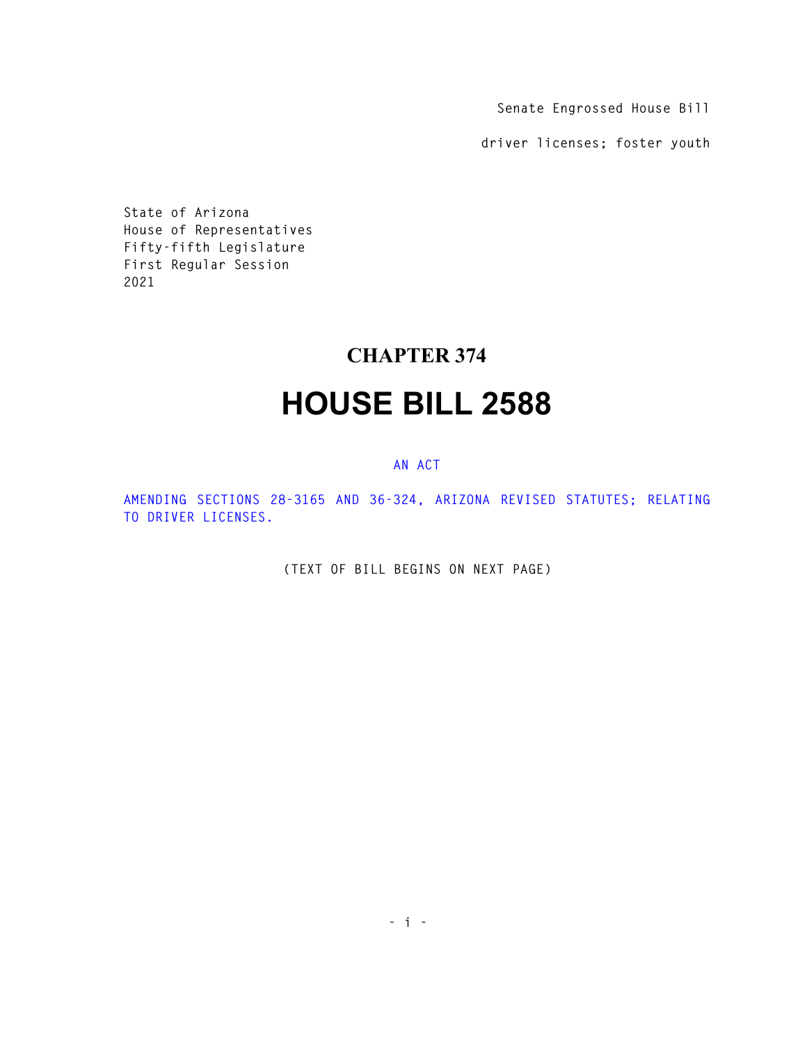**Senate Engrossed House Bill** 

**driver licenses; foster youth** 

**State of Arizona House of Representatives Fifty-fifth Legislature First Regular Session 2021** 

## **CHAPTER 374**

## **HOUSE BILL 2588**

## **AN ACT**

**AMENDING SECTIONS 28-3165 AND 36-324, ARIZONA REVISED STATUTES; RELATING TO DRIVER LICENSES.** 

**(TEXT OF BILL BEGINS ON NEXT PAGE)**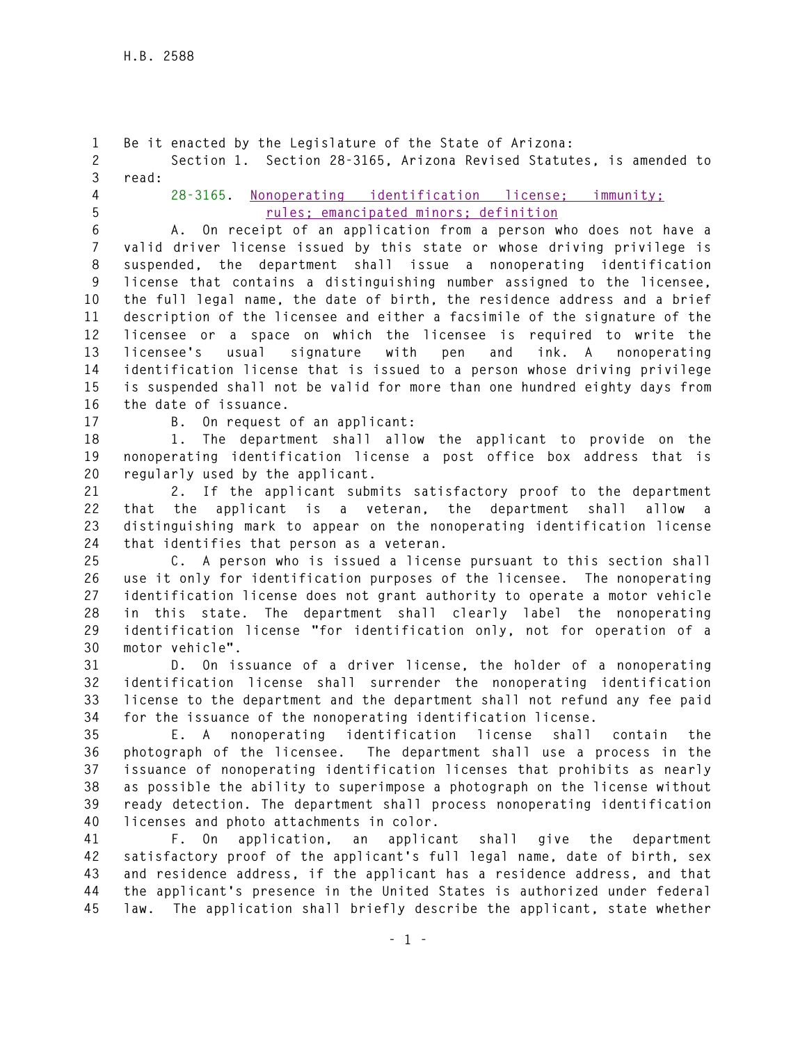**1 Be it enacted by the Legislature of the State of Arizona: 2 Section 1. Section 28-3165, Arizona Revised Statutes, is amended to 3 read: 4 28-3165. Nonoperating identification license; immunity; 5 rules; emancipated minors; definition 6 A. On receipt of an application from a person who does not have a 7 valid driver license issued by this state or whose driving privilege is 8 suspended, the department shall issue a nonoperating identification 9 license that contains a distinguishing number assigned to the licensee, 10 the full legal name, the date of birth, the residence address and a brief 11 description of the licensee and either a facsimile of the signature of the 12 licensee or a space on which the licensee is required to write the 13 licensee's usual signature with pen and ink. A nonoperating 14 identification license that is issued to a person whose driving privilege 15 is suspended shall not be valid for more than one hundred eighty days from 16 the date of issuance. 17 B. On request of an applicant: 18 1. The department shall allow the applicant to provide on the 19 nonoperating identification license a post office box address that is 20 regularly used by the applicant. 21 2. If the applicant submits satisfactory proof to the department 22 that the applicant is a veteran, the department shall allow a 23 distinguishing mark to appear on the nonoperating identification license 24 that identifies that person as a veteran. 25 C. A person who is issued a license pursuant to this section shall 26 use it only for identification purposes of the licensee. The nonoperating 27 identification license does not grant authority to operate a motor vehicle 28 in this state. The department shall clearly label the nonoperating 29 identification license "for identification only, not for operation of a 30 motor vehicle". 31 D. On issuance of a driver license, the holder of a nonoperating 32 identification license shall surrender the nonoperating identification 33 license to the department and the department shall not refund any fee paid 34 for the issuance of the nonoperating identification license. 35 E. A nonoperating identification license shall contain the 36 photograph of the licensee. The department shall use a process in the 37 issuance of nonoperating identification licenses that prohibits as nearly 38 as possible the ability to superimpose a photograph on the license without 39 ready detection. The department shall process nonoperating identification 40 licenses and photo attachments in color. 41 F. On application, an applicant shall give the department 42 satisfactory proof of the applicant's full legal name, date of birth, sex 43 and residence address, if the applicant has a residence address, and that 44 the applicant's presence in the United States is authorized under federal 45 law. The application shall briefly describe the applicant, state whether**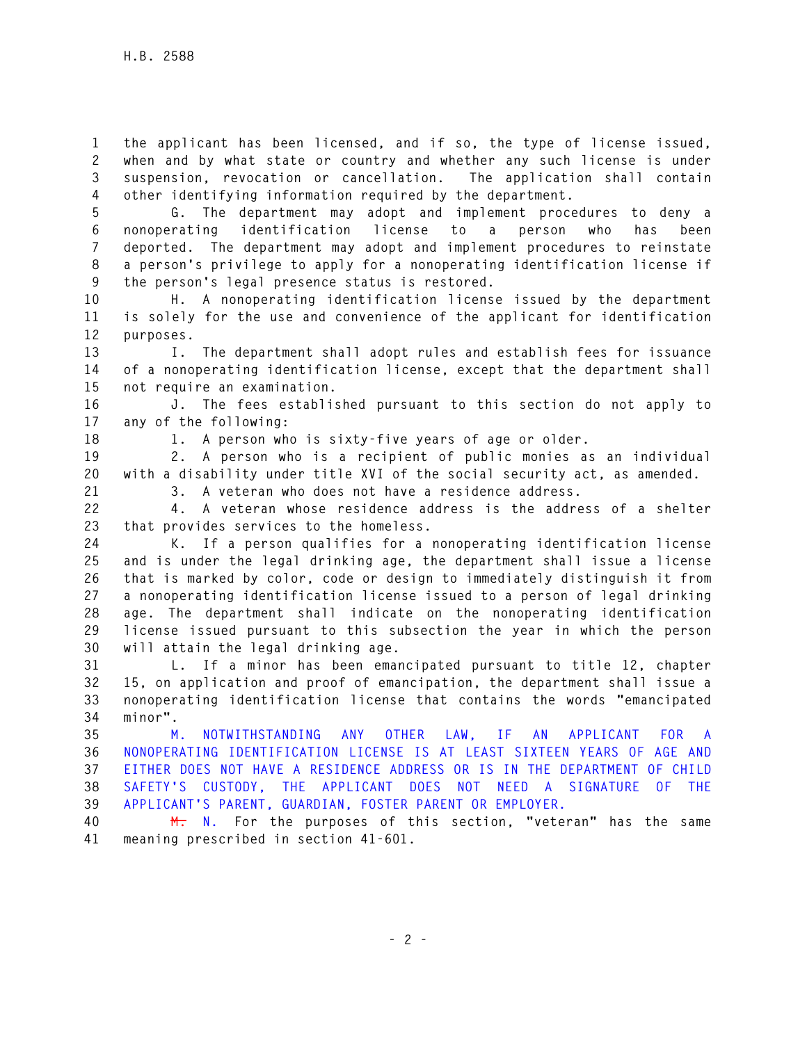**1 the applicant has been licensed, and if so, the type of license issued, 2 when and by what state or country and whether any such license is under 3 suspension, revocation or cancellation. The application shall contain 4 other identifying information required by the department.** 

**5 G. The department may adopt and implement procedures to deny a 6 nonoperating identification license to a person who has been 7 deported. The department may adopt and implement procedures to reinstate 8 a person's privilege to apply for a nonoperating identification license if 9 the person's legal presence status is restored.** 

**10 H. A nonoperating identification license issued by the department 11 is solely for the use and convenience of the applicant for identification 12 purposes.** 

**13 I. The department shall adopt rules and establish fees for issuance 14 of a nonoperating identification license, except that the department shall 15 not require an examination.** 

**16 J. The fees established pursuant to this section do not apply to 17 any of the following:** 

**18 1. A person who is sixty-five years of age or older.** 

**19 2. A person who is a recipient of public monies as an individual 20 with a disability under title XVI of the social security act, as amended.** 

**21 3. A veteran who does not have a residence address.** 

**22 4. A veteran whose residence address is the address of a shelter 23 that provides services to the homeless.** 

**24 K. If a person qualifies for a nonoperating identification license 25 and is under the legal drinking age, the department shall issue a license 26 that is marked by color, code or design to immediately distinguish it from 27 a nonoperating identification license issued to a person of legal drinking 28 age. The department shall indicate on the nonoperating identification 29 license issued pursuant to this subsection the year in which the person 30 will attain the legal drinking age.** 

**31 L. If a minor has been emancipated pursuant to title 12, chapter 32 15, on application and proof of emancipation, the department shall issue a 33 nonoperating identification license that contains the words "emancipated 34 minor".** 

**35 M. NOTWITHSTANDING ANY OTHER LAW, IF AN APPLICANT FOR A 36 NONOPERATING IDENTIFICATION LICENSE IS AT LEAST SIXTEEN YEARS OF AGE AND 37 EITHER DOES NOT HAVE A RESIDENCE ADDRESS OR IS IN THE DEPARTMENT OF CHILD 38 SAFETY'S CUSTODY, THE APPLICANT DOES NOT NEED A SIGNATURE OF THE 39 APPLICANT'S PARENT, GUARDIAN, FOSTER PARENT OR EMPLOYER.** 

**40 M. N. For the purposes of this section, "veteran" has the same 41 meaning prescribed in section 41-601.**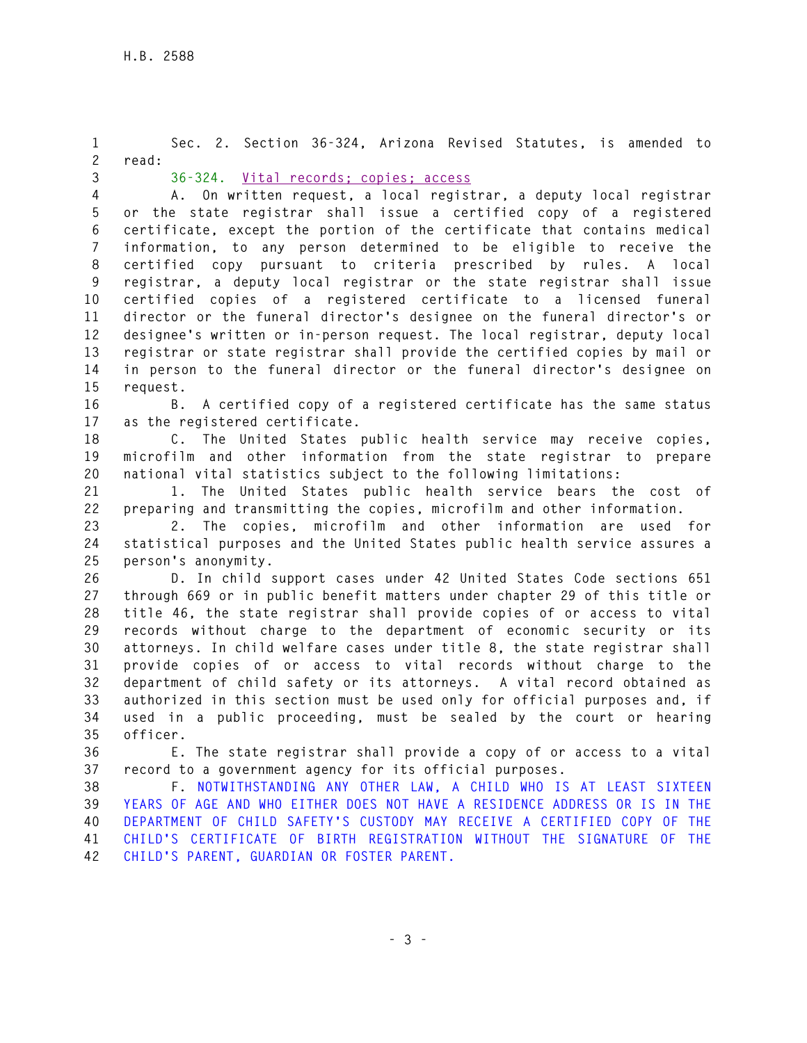**1 Sec. 2. Section 36-324, Arizona Revised Statutes, is amended to 2 read: 3 36-324. Vital records; copies; access 4 A. On written request, a local registrar, a deputy local registrar 5 or the state registrar shall issue a certified copy of a registered 6 certificate, except the portion of the certificate that contains medical 7 information, to any person determined to be eligible to receive the 8 certified copy pursuant to criteria prescribed by rules. A local 9 registrar, a deputy local registrar or the state registrar shall issue 10 certified copies of a registered certificate to a licensed funeral 11 director or the funeral director's designee on the funeral director's or 12 designee's written or in-person request. The local registrar, deputy local 13 registrar or state registrar shall provide the certified copies by mail or 14 in person to the funeral director or the funeral director's designee on 15 request. 16 B. A certified copy of a registered certificate has the same status 17 as the registered certificate. 18 C. The United States public health service may receive copies, 19 microfilm and other information from the state registrar to prepare 20 national vital statistics subject to the following limitations: 21 1. The United States public health service bears the cost of 22 preparing and transmitting the copies, microfilm and other information.** 

**23 2. The copies, microfilm and other information are used for 24 statistical purposes and the United States public health service assures a 25 person's anonymity.** 

**26 D. In child support cases under 42 United States Code sections 651 27 through 669 or in public benefit matters under chapter 29 of this title or 28 title 46, the state registrar shall provide copies of or access to vital 29 records without charge to the department of economic security or its 30 attorneys. In child welfare cases under title 8, the state registrar shall 31 provide copies of or access to vital records without charge to the 32 department of child safety or its attorneys. A vital record obtained as 33 authorized in this section must be used only for official purposes and, if 34 used in a public proceeding, must be sealed by the court or hearing 35 officer.** 

**36 E. The state registrar shall provide a copy of or access to a vital 37 record to a government agency for its official purposes.** 

**38 F. NOTWITHSTANDING ANY OTHER LAW, A CHILD WHO IS AT LEAST SIXTEEN 39 YEARS OF AGE AND WHO EITHER DOES NOT HAVE A RESIDENCE ADDRESS OR IS IN THE 40 DEPARTMENT OF CHILD SAFETY'S CUSTODY MAY RECEIVE A CERTIFIED COPY OF THE 41 CHILD'S CERTIFICATE OF BIRTH REGISTRATION WITHOUT THE SIGNATURE OF THE 42 CHILD'S PARENT, GUARDIAN OR FOSTER PARENT.**